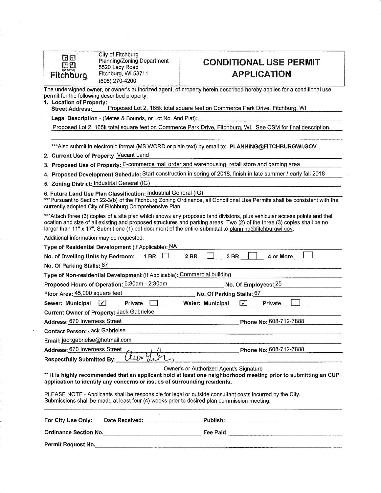| the city of |
|-------------|
| n<br>m      |

City of Fitchburg Planning/Zoning Department 5520 Lacy Road Fitchburg, WI 53711 (608) 270-4200

## **CONDITIONAL USE PERMIT APPLICATION**

The undersigned owner, or owner's authorized agent, of property herein described hereby applies for a conditional use permit for the following described property:

1. Location of Property:<br>Street Address: Proposed Lot 2, 165k total square feet on Commerce Park Drive, Fitchburg, WI

Legal Description - (Metes & Bounds, or Lot No. And Plat):

Proposed Lot 2, 165k total square feet on Commerce Park Drive, Fitchburg, WI. See CSM for final description.

\*\*\*Also submit in electronic format (MS WORD or plain text) by email to: PLANNING@FITCHBURGWI.GOV

2. Current Use of Property: Vacant Land

3. Proposed Use of Property: E-commerce mail order and warehousing, retail store and gaming area

4. Proposed Development Schedule: Start construction in spring of 2018, finish in late summer / early fall 2018

5. Zoning District: Industrial General (IG)

6. Future Land Use Plan Classification: Industrial General (IG)

\*\*\*Pursuant to Section 22-3(b) of the Fitchburg Zoning Ordinance, all Conditional Use Permits shall be consistent with the currently adopted City of Fitchburg Comprehensive Plan.

\*\*\* Attach three (3) copies of a site plan which shows any proposed land divisions, plus vehicular access points and thel ocation and size of all existing and proposed structures and parking areas. Two (2) of the three (3) copies shall be no larger than 11" x 17". Submit one (1) pdf document of the entire submittal to planning@fitchburgwi.gov.

Additional information may be requested.

| Type of Residential Development (If Applicable): NA                                                                                                                                                                                    |
|----------------------------------------------------------------------------------------------------------------------------------------------------------------------------------------------------------------------------------------|
| $2$ BR $\_$<br>4 or More<br>No. of Dwelling Units by Bedroom: $1 BR \square$<br>3 BR                                                                                                                                                   |
| No. Of Parking Stalls: 67                                                                                                                                                                                                              |
| Type of Non-residential Development (If Applicable); Commercial building                                                                                                                                                               |
| Proposed Hours of Operation: 6:30am - 2:30am<br>_________________ No. Of Employees: <u> 25</u>                                                                                                                                         |
| Floor Area: 45,000 square feet<br>$\_$ No. Of Parking Stalls: $\underline{67}$                                                                                                                                                         |
| Sewer: Municipal $\lfloor \sqrt{\cdot} \rfloor$<br>Private Land<br>Water: Municipal $\sqrt{2}$<br><b>Private</b>                                                                                                                       |
| <b>Current Owner of Property: Jack Gabrielse</b>                                                                                                                                                                                       |
| Address: 670 Inverness Street<br>Phone No: 608-712-7888                                                                                                                                                                                |
| <b>Contact Person: Jack Gabrielse</b>                                                                                                                                                                                                  |
| Email: jackgabrielse@hotmail.com                                                                                                                                                                                                       |
| Address: 670 Inverness Street<br>Phone No: 608-712-7888                                                                                                                                                                                |
| "Jur" 7<br><b>Respectfully Submitted By:</b>                                                                                                                                                                                           |
| Owner's or Authorized Agent's Signature<br>** It is highly recommended that an applicant hold at least one neighborhood meeting prior to submitting an CUP<br>application to identify any concerns or issues of surrounding residents. |
| PLEASE NOTE - Applicants shall be responsible for legal or outside consultant costs incurred by the City.<br>Submissions shall be made at least four (4) weeks prior to desired plan commission meeting.                               |
| For City Use Only:<br>Date Received:<br>Publish:                                                                                                                                                                                       |

Permit Request No.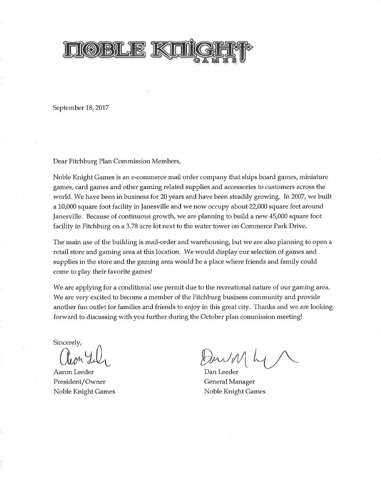

September 18, 2017

Dear Fitchburg Plan Commission Members,

Noble Knight Games is an e-commerce mail order company that ships board games, miniature games, card games and other gaming related supplies and accessories to customers across the world. We have been in business for 20 years and have been steadily growing. In 2007, we built a 10,000 square foot facility in Janesville and we now occupy about 22,000 square feet around Janesville. Because of continuous growth, we are planning to build a new 45,000 square foot facility in Fitchburg on a 3.78 acre lot next to the water tower on Commerce Park Drive.

The main use of the building is mail-order and warehousing, but we are also planning to open a retail store and gaming area at this location. We would display our selection of games and supplies in the store and the gaming area would be a place where friends and family could come to play their favorite games!

We are applying for a conditional use permit due to the recreational nature of our gaming area. We are very excited to become a member of the Fitchburg business community and provide another fun outlet for families and friends to enjoy in this great city. Thanks and we are looking forward to discussing with you further during the October plan commission meeting!

Sincerely,

Aaron Leeder President/Owner Noble Knight Games

Dan Leeder General Manager Noble Knight Games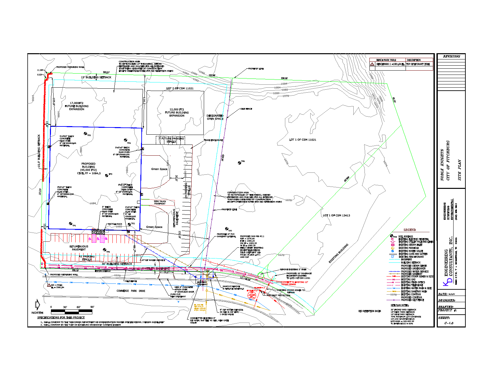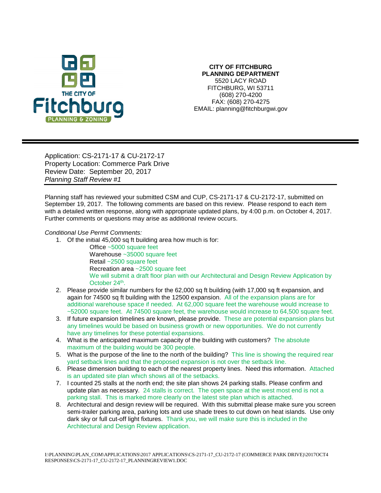

## **CITY OF FITCHBURG PLANNING DEPARTMENT** 5520 LACY ROAD FITCHBURG, WI 53711 (608) 270-4200 FAX: (608) 270-4275 EMAIL: planning@fitchburgwi.gov

Application: CS-2171-17 & CU-2172-17 Property Location: Commerce Park Drive Review Date: September 20, 2017 *Planning Staff Review #1*

Planning staff has reviewed your submitted CSM and CUP, CS-2171-17 & CU-2172-17, submitted on September 19, 2017. The following comments are based on this review. Please respond to each item with a detailed written response, along with appropriate updated plans, by 4:00 p.m. on October 4, 2017. Further comments or questions may arise as additional review occurs.

## *Conditional Use Permit Comments:*

- 1. Of the initial 45,000 sq ft building area how much is for:
	- Office ~5000 square feet Warehouse ~35000 square feet Retail ~2500 square feet Recreation area ~2500 square feet We will submit a draft floor plan with our Architectural and Design Review Application by October 24<sup>th</sup>.
- 2. Please provide similar numbers for the 62,000 sq ft building (with 17,000 sq ft expansion, and again for 74500 sq ft building with the 12500 expansion. All of the expansion plans are for additional warehouse space if needed. At 62,000 square feet the warehouse would increase to ~52000 square feet. At 74500 square feet, the warehouse would increase to 64,500 square feet.
- 3. If future expansion timelines are known, please provide. These are potential expansion plans but any timelines would be based on business growth or new opportunities. We do not currently have any timelines for these potential expansions.
- 4. What is the anticipated maximum capacity of the building with customers? The absolute maximum of the building would be 300 people.
- 5. What is the purpose of the line to the north of the building? This line is showing the required rear yard setback lines and that the proposed expansion is not over the setback line.
- 6. Please dimension building to each of the nearest property lines. Need this information. Attached is an updated site plan which shows all of the setbacks.
- 7. I counted 25 stalls at the north end; the site plan shows 24 parking stalls. Please confirm and update plan as necessary. 24 stalls is correct. The open space at the west most end is not a parking stall. This is marked more clearly on the latest site plan which is attached.
- 8. Architectural and design review will be required. With this submittal please make sure you screen semi-trailer parking area, parking lots and use shade trees to cut down on heat islands. Use only dark sky or full cut-off light fixtures. Thank you, we will make sure this is included in the Architectural and Design Review application.